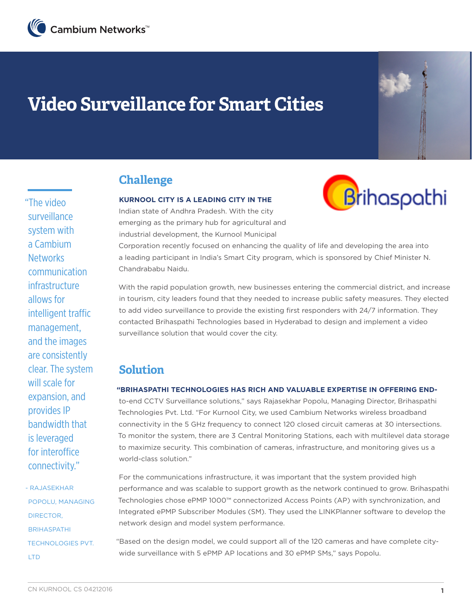

# **Video Surveillance for Smart Cities**

## **Challenge**

#### **KURNOOL CITY IS A LEADING CITY IN THE**

Indian state of Andhra Pradesh. With the city emerging as the primary hub for agricultural and industrial development, the Kurnool Municipal



Corporation recently focused on enhancing the quality of life and developing the area into a leading participant in India's Smart City program, which is sponsored by Chief Minister N. Chandrababu Naidu.

With the rapid population growth, new businesses entering the commercial district, and increase in tourism, city leaders found that they needed to increase public safety measures. They elected to add video surveillance to provide the existing first responders with 24/7 information. They contacted Brihaspathi Technologies based in Hyderabad to design and implement a video surveillance solution that would cover the city.

### **Solution**

#### **"BRIHASPATHI TECHNOLOGIES HAS RICH AND VALUABLE EXPERTISE IN OFFERING END-**

to-end CCTV Surveillance solutions," says Rajasekhar Popolu, Managing Director, Brihaspathi Technologies Pvt. Ltd. "For Kurnool City, we used Cambium Networks wireless broadband connectivity in the 5 GHz frequency to connect 120 closed circuit cameras at 30 intersections. To monitor the system, there are 3 Central Monitoring Stations, each with multilevel data storage to maximize security. This combination of cameras, infrastructure, and monitoring gives us a world-class solution."

For the communications infrastructure, it was important that the system provided high performance and was scalable to support growth as the network continued to grow. Brihaspathi Technologies chose ePMP 1000™ connectorized Access Points (AP) with synchronization, and Integrated ePMP Subscriber Modules (SM). They used the LINKPlanner software to develop the network design and model system performance.

"Based on the design model, we could support all of the 120 cameras and have complete citywide surveillance with 5 ePMP AP locations and 30 ePMP SMs," says Popolu.

"The video surveillance system with a Cambium **Networks** communication infrastructure allows for intelligent traffic management, and the images are consistently clear. The system will scale for expansion, and provides IP bandwidth that is leveraged for interoffice connectivity."

- RAJASEKHAR POPOLU, MANAGING DIRECTOR, **BRIHASPATHI** TECHNOLOGIES PVT. LTD